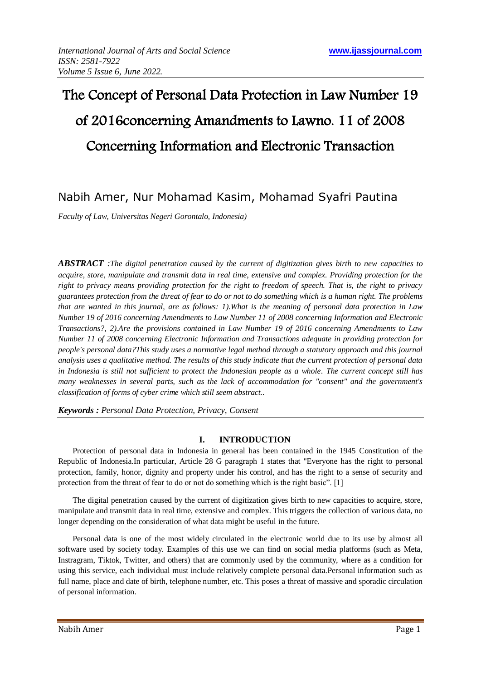# The Concept of Personal Data Protection in Law Number 19 of 2016concerning Amandments to Lawno. 11 of 2008 Concerning Information and Electronic Transaction

# Nabih Amer, Nur Mohamad Kasim, Mohamad Syafri Pautina

*Faculty of Law, Universitas Negeri Gorontalo, Indonesia)*

*ABSTRACT :The digital penetration caused by the current of digitization gives birth to new capacities to acquire, store, manipulate and transmit data in real time, extensive and complex. Providing protection for the right to privacy means providing protection for the right to freedom of speech. That is, the right to privacy guarantees protection from the threat of fear to do or not to do something which is a human right. The problems that are wanted in this journal, are as follows: 1).What is the meaning of personal data protection in Law Number 19 of 2016 concerning Amendments to Law Number 11 of 2008 concerning Information and Electronic Transactions?, 2).Are the provisions contained in Law Number 19 of 2016 concerning Amendments to Law Number 11 of 2008 concerning Electronic Information and Transactions adequate in providing protection for people's personal data?This study uses a normative legal method through a statutory approach and this journal analysis uses a qualitative method. The results of this study indicate that the current protection of personal data in Indonesia is still not sufficient to protect the Indonesian people as a whole. The current concept still has many weaknesses in several parts, such as the lack of accommodation for "consent" and the government's classification of forms of cyber crime which still seem abstract..*

*Keywords : Personal Data Protection, Privacy, Consent*

## **I. INTRODUCTION**

Protection of personal data in Indonesia in general has been contained in the 1945 Constitution of the Republic of Indonesia.In particular, Article 28 G paragraph 1 states that "Everyone has the right to personal protection, family, honor, dignity and property under his control, and has the right to a sense of security and protection from the threat of fear to do or not do something which is the right basic". [1]

The digital penetration caused by the current of digitization gives birth to new capacities to acquire, store, manipulate and transmit data in real time, extensive and complex. This triggers the collection of various data, no longer depending on the consideration of what data might be useful in the future.

Personal data is one of the most widely circulated in the electronic world due to its use by almost all software used by society today. Examples of this use we can find on social media platforms (such as Meta, Instragram, Tiktok, Twitter, and others) that are commonly used by the community, where as a condition for using this service, each individual must include relatively complete personal data.Personal information such as full name, place and date of birth, telephone number, etc. This poses a threat of massive and sporadic circulation of personal information.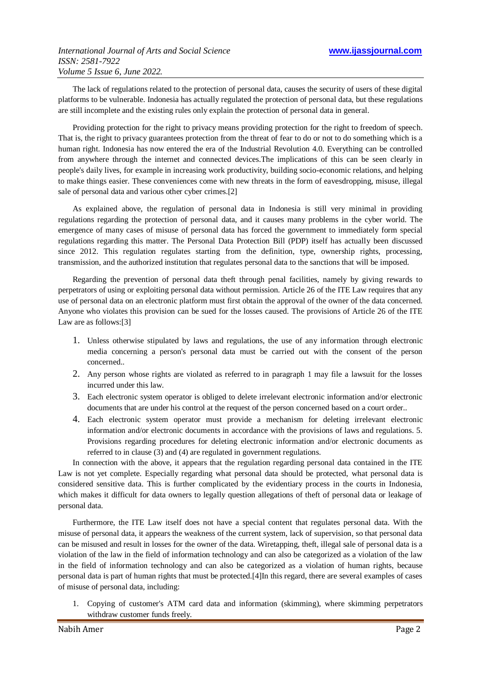The lack of regulations related to the protection of personal data, causes the security of users of these digital platforms to be vulnerable. Indonesia has actually regulated the protection of personal data, but these regulations are still incomplete and the existing rules only explain the protection of personal data in general.

Providing protection for the right to privacy means providing protection for the right to freedom of speech. That is, the right to privacy guarantees protection from the threat of fear to do or not to do something which is a human right. Indonesia has now entered the era of the Industrial Revolution 4.0. Everything can be controlled from anywhere through the internet and connected devices.The implications of this can be seen clearly in people's daily lives, for example in increasing work productivity, building socio-economic relations, and helping to make things easier. These conveniences come with new threats in the form of eavesdropping, misuse, illegal sale of personal data and various other cyber crimes.[2]

As explained above, the regulation of personal data in Indonesia is still very minimal in providing regulations regarding the protection of personal data, and it causes many problems in the cyber world. The emergence of many cases of misuse of personal data has forced the government to immediately form special regulations regarding this matter. The Personal Data Protection Bill (PDP) itself has actually been discussed since 2012. This regulation regulates starting from the definition, type, ownership rights, processing, transmission, and the authorized institution that regulates personal data to the sanctions that will be imposed.

Regarding the prevention of personal data theft through penal facilities, namely by giving rewards to perpetrators of using or exploiting personal data without permission. Article 26 of the ITE Law requires that any use of personal data on an electronic platform must first obtain the approval of the owner of the data concerned. Anyone who violates this provision can be sued for the losses caused. The provisions of Article 26 of the ITE Law are as follows:[3]

- 1. Unless otherwise stipulated by laws and regulations, the use of any information through electronic media concerning a person's personal data must be carried out with the consent of the person concerned..
- 2. Any person whose rights are violated as referred to in paragraph 1 may file a lawsuit for the losses incurred under this law.
- 3. Each electronic system operator is obliged to delete irrelevant electronic information and/or electronic documents that are under his control at the request of the person concerned based on a court order..
- 4. Each electronic system operator must provide a mechanism for deleting irrelevant electronic information and/or electronic documents in accordance with the provisions of laws and regulations. 5. Provisions regarding procedures for deleting electronic information and/or electronic documents as referred to in clause (3) and (4) are regulated in government regulations.

In connection with the above, it appears that the regulation regarding personal data contained in the ITE Law is not vet complete. Especially regarding what personal data should be protected, what personal data is considered sensitive data. This is further complicated by the evidentiary process in the courts in Indonesia, which makes it difficult for data owners to legally question allegations of theft of personal data or leakage of personal data.

Furthermore, the ITE Law itself does not have a special content that regulates personal data. With the misuse of personal data, it appears the weakness of the current system, lack of supervision, so that personal data can be misused and result in losses for the owner of the data. Wiretapping, theft, illegal sale of personal data is a violation of the law in the field of information technology and can also be categorized as a violation of the law in the field of information technology and can also be categorized as a violation of human rights, because personal data is part of human rights that must be protected.[4]In this regard, there are several examples of cases of misuse of personal data, including:

1. Copying of customer's ATM card data and information (skimming), where skimming perpetrators withdraw customer funds freely.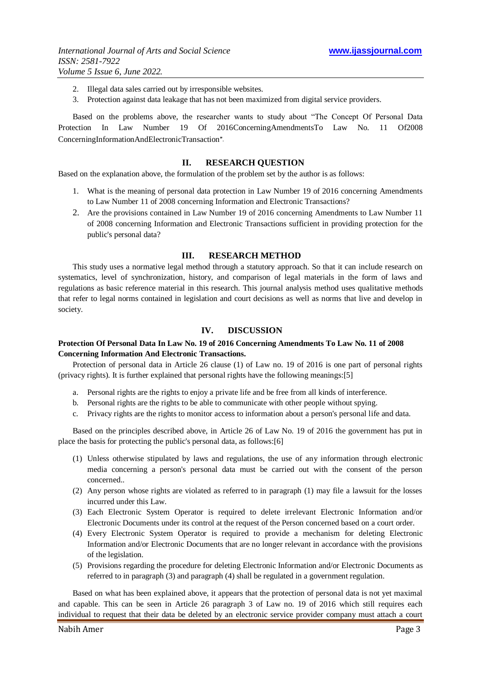- 2. Illegal data sales carried out by irresponsible websites.
- 3. Protection against data leakage that has not been maximized from digital service providers.

Based on the problems above, the researcher wants to study about "The Concept Of Personal Data Protection In Law Number 19 Of 2016ConcerningAmendmentsTo Law No. 11 Of2008 ConcerningInformationAndElectronicTransaction".

#### **II. RESEARCH QUESTION**

Based on the explanation above, the formulation of the problem set by the author is as follows:

- 1. What is the meaning of personal data protection in Law Number 19 of 2016 concerning Amendments to Law Number 11 of 2008 concerning Information and Electronic Transactions?
- 2. Are the provisions contained in Law Number 19 of 2016 concerning Amendments to Law Number 11 of 2008 concerning Information and Electronic Transactions sufficient in providing protection for the public's personal data?

#### **III. RESEARCH METHOD**

This study uses a normative legal method through a statutory approach. So that it can include research on systematics, level of synchronization, history, and comparison of legal materials in the form of laws and regulations as basic reference material in this research. This journal analysis method uses qualitative methods that refer to legal norms contained in legislation and court decisions as well as norms that live and develop in society.

#### **IV. DISCUSSION**

### **Protection Of Personal Data In Law No. 19 of 2016 Concerning Amendments To Law No. 11 of 2008 Concerning Information And Electronic Transactions.**

Protection of personal data in Article 26 clause (1) of Law no. 19 of 2016 is one part of personal rights (privacy rights). It is further explained that personal rights have the following meanings:[5]

- a. Personal rights are the rights to enjoy a private life and be free from all kinds of interference.
- b. Personal rights are the rights to be able to communicate with other people without spying.
- c. Privacy rights are the rights to monitor access to information about a person's personal life and data.

Based on the principles described above, in Article 26 of Law No. 19 of 2016 the government has put in place the basis for protecting the public's personal data, as follows:[6]

- (1) Unless otherwise stipulated by laws and regulations, the use of any information through electronic media concerning a person's personal data must be carried out with the consent of the person concerned..
- (2) Any person whose rights are violated as referred to in paragraph (1) may file a lawsuit for the losses incurred under this Law.
- (3) Each Electronic System Operator is required to delete irrelevant Electronic Information and/or Electronic Documents under its control at the request of the Person concerned based on a court order.
- (4) Every Electronic System Operator is required to provide a mechanism for deleting Electronic Information and/or Electronic Documents that are no longer relevant in accordance with the provisions of the legislation.
- (5) Provisions regarding the procedure for deleting Electronic Information and/or Electronic Documents as referred to in paragraph (3) and paragraph (4) shall be regulated in a government regulation.

Based on what has been explained above, it appears that the protection of personal data is not yet maximal and capable. This can be seen in Article 26 paragraph 3 of Law no. 19 of 2016 which still requires each individual to request that their data be deleted by an electronic service provider company must attach a court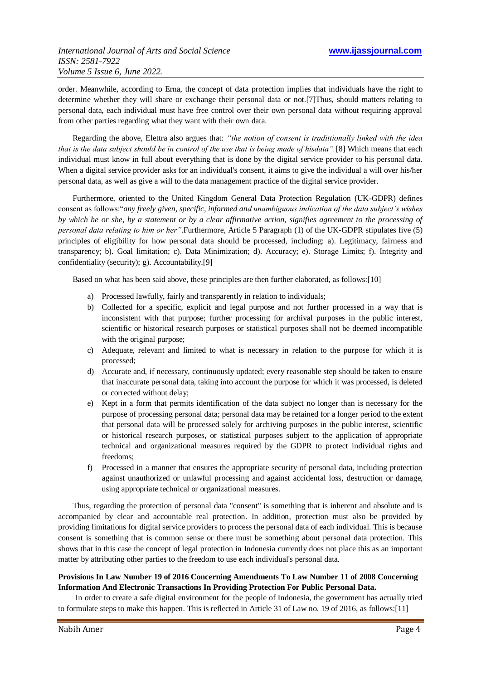order. Meanwhile, according to Erna, the concept of data protection implies that individuals have the right to determine whether they will share or exchange their personal data or not.[7]Thus, should matters relating to personal data, each individual must have free control over their own personal data without requiring approval from other parties regarding what they want with their own data.

Regarding the above, Elettra also argues that: *"the notion of consent is tradittionally linked with the idea that is the data subject should be in control of the use that is being made of hisdata".*[8] Which means that each individual must know in full about everything that is done by the digital service provider to his personal data. When a digital service provider asks for an individual's consent, it aims to give the individual a will over his/her personal data, as well as give a will to the data management practice of the digital service provider*.*

Furthermore, oriented to the United Kingdom General Data Protection Regulation (UK-GDPR) defines consent as follows:"*any freely given, specific, informed and unambiguous indication of the data subject's wishes by which he or she, by a statement or by a clear affirmative action, signifies agreement to the processing of personal data relating to him or her"*.Furthermore, Article 5 Paragraph (1) of the UK-GDPR stipulates five (5) principles of eligibility for how personal data should be processed, including: a). Legitimacy, fairness and transparency; b). Goal limitation; c). Data Minimization; d). Accuracy; e). Storage Limits; f). Integrity and confidentiality (security); g). Accountability.[9]

Based on what has been said above, these principles are then further elaborated, as follows:[10]

- a) Processed lawfully, fairly and transparently in relation to individuals;
- b) Collected for a specific, explicit and legal purpose and not further processed in a way that is inconsistent with that purpose; further processing for archival purposes in the public interest, scientific or historical research purposes or statistical purposes shall not be deemed incompatible with the original purpose;
- c) Adequate, relevant and limited to what is necessary in relation to the purpose for which it is processed;
- d) Accurate and, if necessary, continuously updated; every reasonable step should be taken to ensure that inaccurate personal data, taking into account the purpose for which it was processed, is deleted or corrected without delay;
- e) Kept in a form that permits identification of the data subject no longer than is necessary for the purpose of processing personal data; personal data may be retained for a longer period to the extent that personal data will be processed solely for archiving purposes in the public interest, scientific or historical research purposes, or statistical purposes subject to the application of appropriate technical and organizational measures required by the GDPR to protect individual rights and freedoms;
- f) Processed in a manner that ensures the appropriate security of personal data, including protection against unauthorized or unlawful processing and against accidental loss, destruction or damage, using appropriate technical or organizational measures.

Thus, regarding the protection of personal data "consent" is something that is inherent and absolute and is accompanied by clear and accountable real protection. In addition, protection must also be provided by providing limitations for digital service providers to process the personal data of each individual. This is because consent is something that is common sense or there must be something about personal data protection. This shows that in this case the concept of legal protection in Indonesia currently does not place this as an important matter by attributing other parties to the freedom to use each individual's personal data.

#### **Provisions In Law Number 19 of 2016 Concerning Amendments To Law Number 11 of 2008 Concerning Information And Electronic Transactions In Providing Protection For Public Personal Data.**

In order to create a safe digital environment for the people of Indonesia, the government has actually tried to formulate steps to make this happen. This is reflected in Article 31 of Law no. 19 of 2016, as follows:[11]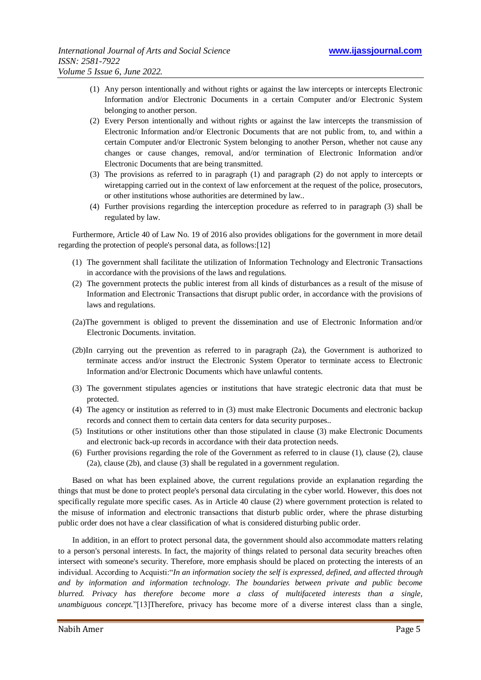- (1) Any person intentionally and without rights or against the law intercepts or intercepts Electronic Information and/or Electronic Documents in a certain Computer and/or Electronic System belonging to another person.
- (2) Every Person intentionally and without rights or against the law intercepts the transmission of Electronic Information and/or Electronic Documents that are not public from, to, and within a certain Computer and/or Electronic System belonging to another Person, whether not cause any changes or cause changes, removal, and/or termination of Electronic Information and/or Electronic Documents that are being transmitted.
- (3) The provisions as referred to in paragraph (1) and paragraph (2) do not apply to intercepts or wiretapping carried out in the context of law enforcement at the request of the police, prosecutors, or other institutions whose authorities are determined by law..
- (4) Further provisions regarding the interception procedure as referred to in paragraph (3) shall be regulated by law.

Furthermore, Article 40 of Law No. 19 of 2016 also provides obligations for the government in more detail regarding the protection of people's personal data, as follows:[12]

- (1) The government shall facilitate the utilization of Information Technology and Electronic Transactions in accordance with the provisions of the laws and regulations.
- (2) The government protects the public interest from all kinds of disturbances as a result of the misuse of Information and Electronic Transactions that disrupt public order, in accordance with the provisions of laws and regulations.
- (2a)The government is obliged to prevent the dissemination and use of Electronic Information and/or Electronic Documents. invitation.
- (2b)In carrying out the prevention as referred to in paragraph (2a), the Government is authorized to terminate access and/or instruct the Electronic System Operator to terminate access to Electronic Information and/or Electronic Documents which have unlawful contents.
- (3) The government stipulates agencies or institutions that have strategic electronic data that must be protected.
- (4) The agency or institution as referred to in (3) must make Electronic Documents and electronic backup records and connect them to certain data centers for data security purposes..
- (5) Institutions or other institutions other than those stipulated in clause (3) make Electronic Documents and electronic back-up records in accordance with their data protection needs.
- (6) Further provisions regarding the role of the Government as referred to in clause (1), clause (2), clause (2a), clause (2b), and clause (3) shall be regulated in a government regulation.

Based on what has been explained above, the current regulations provide an explanation regarding the things that must be done to protect people's personal data circulating in the cyber world. However, this does not specifically regulate more specific cases. As in Article 40 clause (2) where government protection is related to the misuse of information and electronic transactions that disturb public order, where the phrase disturbing public order does not have a clear classification of what is considered disturbing public order.

In addition, in an effort to protect personal data, the government should also accommodate matters relating to a person's personal interests. In fact, the majority of things related to personal data security breaches often intersect with someone's security. Therefore, more emphasis should be placed on protecting the interests of an individual. According to Acquisti:"*In an information society the self is expressed, defined, and a*ff*ected through and by information and information technology. The boundaries between private and public become blurred. Privacy has therefore become more a class of multifaceted interests than a single, unambiguous concept.*"[13]Therefore, privacy has become more of a diverse interest class than a single,